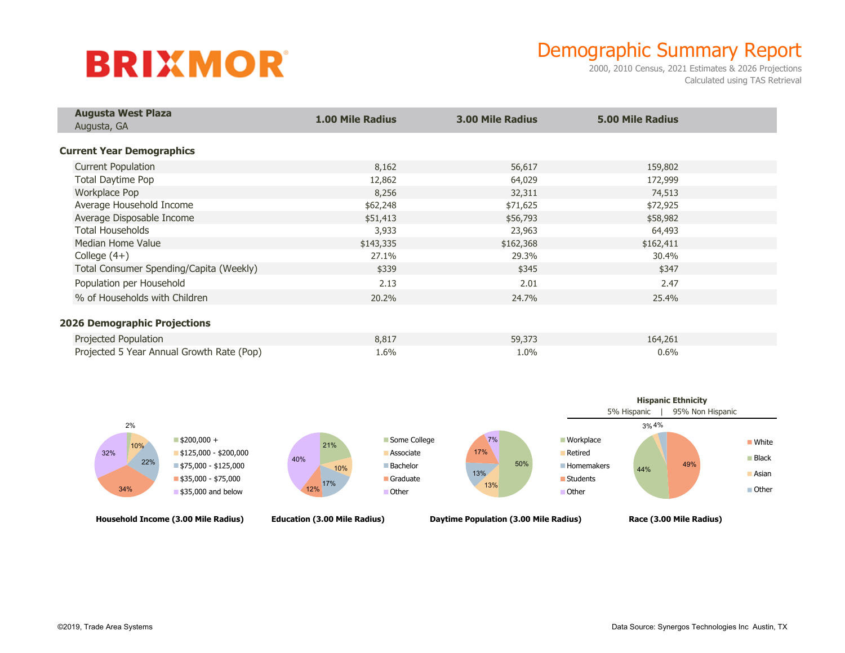## **BRIXMOR**

## Demographic Summary Report

2000, 2010 Census, 2021 Estimates & 2026 Projections Calculated using TAS Retrieval

| <b>Augusta West Plaza</b>                 | <b>1.00 Mile Radius</b> | <b>3.00 Mile Radius</b> | <b>5.00 Mile Radius</b> |  |
|-------------------------------------------|-------------------------|-------------------------|-------------------------|--|
| Augusta, GA                               |                         |                         |                         |  |
| <b>Current Year Demographics</b>          |                         |                         |                         |  |
| <b>Current Population</b>                 | 8,162                   | 56,617                  | 159,802                 |  |
| Total Daytime Pop                         | 12,862                  | 64,029                  | 172,999                 |  |
| Workplace Pop                             | 8,256                   | 32,311                  | 74,513                  |  |
| Average Household Income                  | \$62,248                | \$71,625                | \$72,925                |  |
| Average Disposable Income                 | \$51,413                | \$56,793                | \$58,982                |  |
| <b>Total Households</b>                   | 3,933                   | 23,963                  | 64,493                  |  |
| Median Home Value                         | \$143,335               | \$162,368               | \$162,411               |  |
| College $(4+)$                            | 27.1%                   | 29.3%                   | 30.4%                   |  |
| Total Consumer Spending/Capita (Weekly)   | \$339                   | \$345                   | \$347                   |  |
| Population per Household                  | 2.13                    | 2.01                    | 2.47                    |  |
| % of Households with Children             | 20.2%                   | 24.7%                   | 25.4%                   |  |
| <b>2026 Demographic Projections</b>       |                         |                         |                         |  |
| Projected Population                      | 8,817                   | 59,373                  | 164,261                 |  |
| Projected 5 Year Annual Growth Rate (Pop) | 1.6%                    | 1.0%                    | 0.6%                    |  |